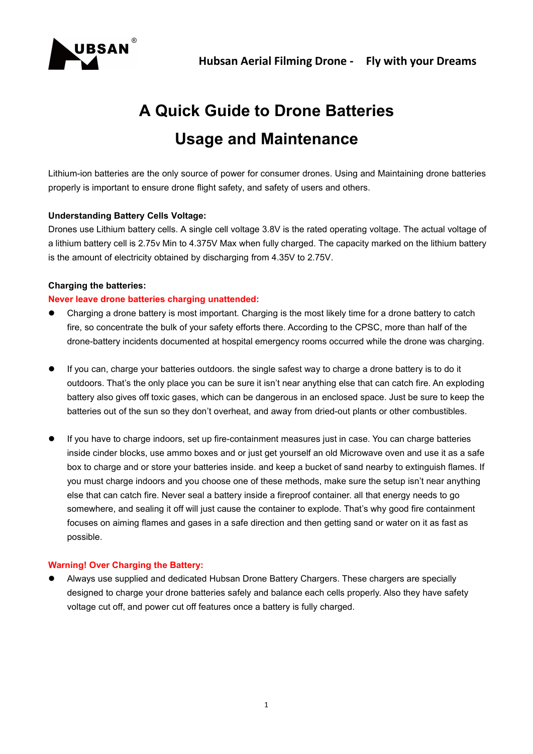



# **A Quick Guide to Drone Batteries Usage and Maintenance**

Lithium-ion batteries are the only source of power for consumer drones. Using and Maintaining drone batteries properly is important to ensure drone flight safety, and safety of users and others.

# **Understanding Battery Cells Voltage:**

Drones use Lithium battery cells. A single cell voltage 3.8V is the rated operating voltage. The actual voltage of a lithium battery cell is 2.75v Min to 4.375V Max when fully charged. The capacity marked on the lithium battery is the amount of electricity obtained by discharging from 4.35V to 2.75V.

# **Charging the batteries:**

# **Never leave drone batteries charging unattended:**

- Charging a drone battery is most important. Charging is the most likely time for a drone battery to catch fire, so concentrate the bulk of your safety efforts there. According to the CPSC, more than half of the drone-battery incidents documented at hospital emergency rooms occurred while the drone was charging.
- If you can, charge your batteries outdoors. the single safest way to charge a drone battery is to do it outdoors. That's the only place you can be sure it isn't near anything else that can catch fire. An exploding battery also gives off toxic gases, which can be dangerous in an enclosed space. Just be sure to keep the batteries out of the sun so they don't overheat, and away from dried-out plants or other combustibles.
- If you have to charge indoors, set up fire-containment measures just in case. You can charge batteries inside cinder blocks, use ammo boxes and or just get yourself an old Microwave oven and use it as a safe box to charge and or store your batteries inside. and keep a bucket of sand nearby to extinguish flames. If you must charge indoors and you choose one of these methods, make sure the setup isn't near anything else that can catch fire. Never seala battery inside a fireproof container. all that energy needs to go somewhere, and sealing it off will just cause the container to explode. That's why good fire containment focuses on aiming flames and gases in a safe direction and then getting sand or water on it as fast as possible.

# **Warning! Over Charging the Battery:**

 Always use supplied and dedicated Hubsan Drone Battery Chargers. These chargers are specially designed to charge your drone batteries safely and balance each cells properly. Also they have safety voltage cut off, and power cut off features once a battery is fully charged.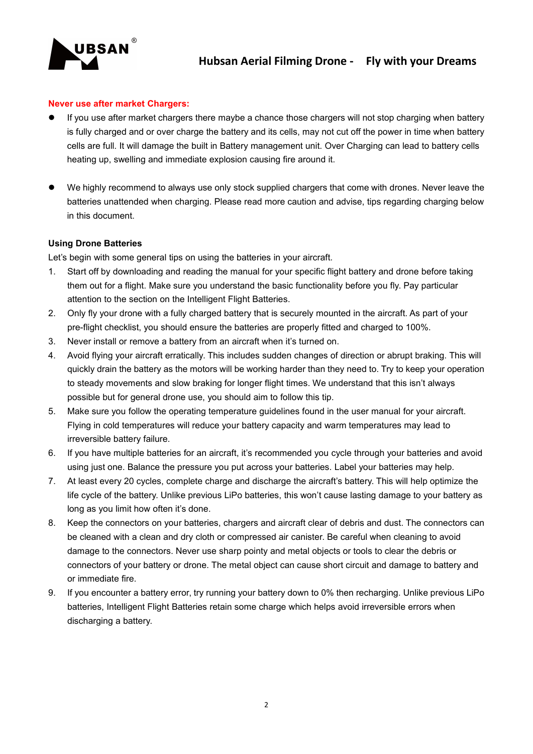

#### **Never use after market Chargers:**

- If you use aftermarket chargers there maybe a chance those chargers will not stop charging when battery is fully charged and or over charge the battery and its cells, may not cut off the power in time when battery cells are full. It will damage the built in Battery management unit. Over Charging can lead to battery cells heating up, swelling and immediate explosion causing fire around it.
- We highly recommend to always use only stock supplied chargers that come with drones. Never leave the batteries unattended when charging. Please read more caution and advise, tips regarding charging below in this document.

#### **Using Drone Batteries**

Let's begin with some general tips on using the batteries in your aircraft.

- 1. Start off by downloading and reading the manual for your specific flight battery and drone before taking them out for a flight. Make sure you understand the basic functionality before you fly. Pay particular attention to the section on the Intelligent Flight Batteries.
- 2. Only fly your drone with a fully charged battery that is securely mounted in the aircraft. As part of your pre-flight checklist, you should ensure the batteries are properly fitted and charged to 100%.
- 3. Never install or remove a battery from an aircraft when it's turned on.
- 4. Avoid flying your aircraft erratically. This includes sudden changes of direction or abrupt braking. This will quickly drain the battery as the motors will be working harder than they need to. Try to keep your operation to steady movements and slow braking for longer flight times. We understand that this isn't always possible but for general drone use, you should aim to follow this tip.
- 5. Make sure you follow the operating temperature guidelines found in the user manual for your aircraft. Flying in cold temperatures will reduce your battery capacity and warm temperatures may lead to irreversible battery failure.
- 6. If you have multiple batteries for an aircraft, it's recommended you cycle through your batteries and avoid using just one. Balance the pressure you put across your batteries. Label your batteries may help.
- 7. At least every 20 cycles, complete charge and discharge the aircraft's battery. This will help optimize the life cycle of the battery. Unlike previous LiPo batteries, this won't cause lasting damage to your battery as long as you limit how often it's done.
- 8. Keep the connectors on your batteries, chargers and aircraft clear of debris and dust. The connectors can be cleaned with a clean and dry cloth or compressed air canister. Be careful when cleaning to avoid damage to the connectors. Never use sharp pointy and metal objects or tools to clear the debris or connectors of your battery or drone. The metal object can cause short circuit and damage to battery and or immediate fire.
- 9. If you encounter a battery error, try running your battery down to 0% then recharging. Unlike previous LiPo batteries, Intelligent Flight Batteries retain some charge which helps avoid irreversible errors when discharging a battery.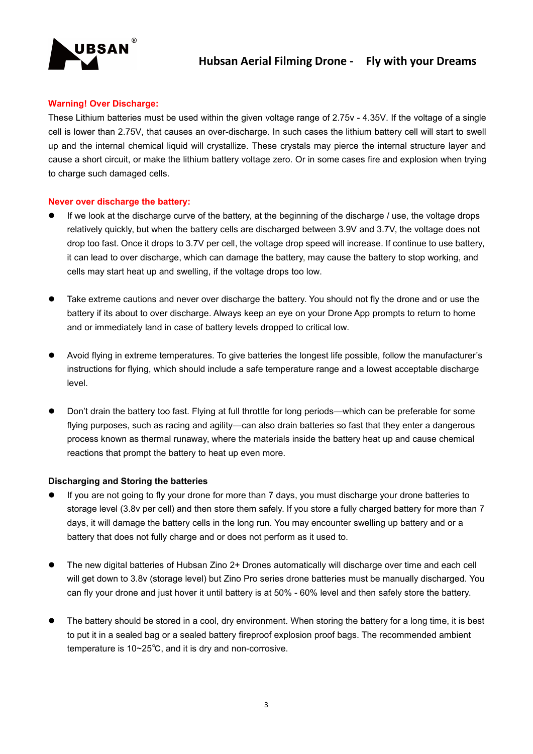

## **Warning! Over Discharge:**

These Lithium batteries must be used within the given voltage range of 2.75v - 4.35V. If the voltage of a single cell is lower than 2.75V, that causes an over-discharge. In such cases the lithium battery cell will start to swell up and the internal chemical liquid will crystallize. These crystals may pierce the internal structure layer and cause a short circuit, or make the lithium battery voltage zero. Or in some cases fire and explosion when trying to charge such damaged cells.

#### **Never over discharge the battery:**

- If we look at the discharge curve of the battery, at the beginning of the discharge / use, the voltage drops relatively quickly, but when the battery cells are discharged between 3.9V and 3.7V, the voltage does not drop too fast. Once it drops to 3.7V per cell, the voltage drop speed will increase. If continue to use battery, it can lead to over discharge, which can damage the battery, may cause the battery to stop working, and cells may start heat up and swelling, if the voltage drops too low.
- Take extreme cautions and never over discharge the battery. You should not fly the drone and or use the battery if its about to over discharge. Always keep an eye on your Drone App prompts to return to home and or immediately land in case of battery levels dropped to critical low.
- Avoid flying in extreme temperatures. To give batteries the longest life possible, follow the manufacturer's instructions for flying, which should include a safe temperature range and a lowest acceptable discharge level.
- Don't drain the battery too fast. Flying at full throttle for long periods—which can be preferable for some flying purposes, such as racing and agility—can also drain batteries so fast that they enter a dangerous process known as thermal runaway, where the materials inside the battery heat up and cause chemical reactions that prompt the battery to heat up even more.

#### **Discharging and Storing the batteries**

- If you are not going to fly your drone for more than 7 days, you must discharge your drone batteries to storage level (3.8v per cell) and then store them safely. If you store a fully charged battery for more than 7 days, it will damage the battery cells in the long run. You may encounter swelling up battery and ora battery that does not fully charge and or does not perform as it used to.
- The new digital batteries of Hubsan Zino 2+ Drones automatically will discharge over time and each cell will get down to 3.8v (storage level) but Zino Pro series drone batteries must be manually discharged. You can fly your drone and just hover it until battery is at 50% - 60% level and then safely store the battery.
- The battery should be stored in a cool, dry environment. When storing the battery for a long time, it is best to put it in a sealed bag or a sealed battery fireproof explosion proof bags. The recommended ambient temperature is 10~25℃, and it is dry and non-corrosive.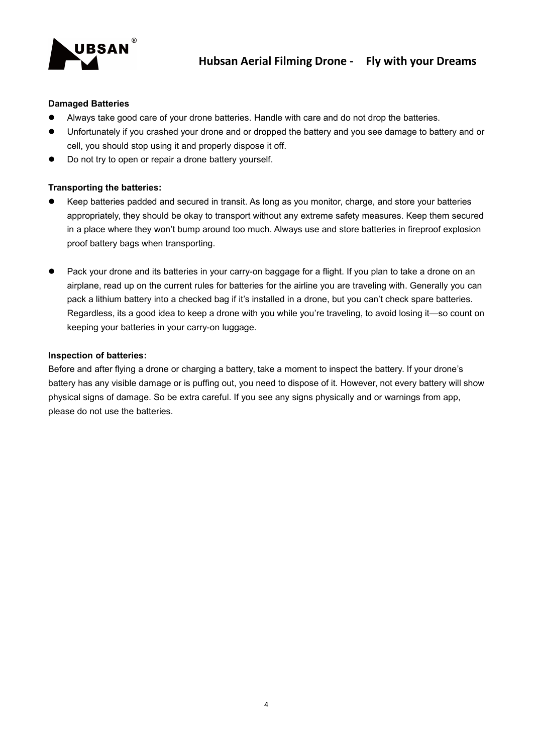

#### **Damaged Batteries**

- Always take good care of your drone batteries. Handle with care and do not drop the batteries.
- Unfortunately if you crashed your drone and or dropped the battery and you see damage to battery and or cell, you should stop using it and properly dispose it off.
- Do not try to open or repair a drone battery yourself.

### **Transporting the batteries:**

- Keep batteries padded and secured in transit. As long as you monitor, charge, and store your batteries appropriately, they should be okay to transport without any extreme safety measures. Keep them secured in a place where they won't bump around too much. Always use and store batteries in fireproof explosion proof battery bags when transporting.
- Pack your drone and its batteries in your carry-on baggage for a flight. If you plan to take a drone on an airplane, read up on the current rules for batteries for the airline you are traveling with. Generally you can pack a lithium battery into a checked bag if it's installed in a drone, but you can't check spare batteries. Regardless, its a good idea to keep a drone with you while you're traveling, to avoid losing it—so count on keeping your batteries in your carry-on luggage.

#### **Inspection of batteries:**

Before and afterflying a drone or charging a battery, take a moment to inspect the battery. If your drone's battery has any visible damage or is puffing out, you need to dispose of it. However, not every battery will show physical signs of damage. So be extra careful. If you see any signs physically and orwarnings from app, please do not use the batteries.